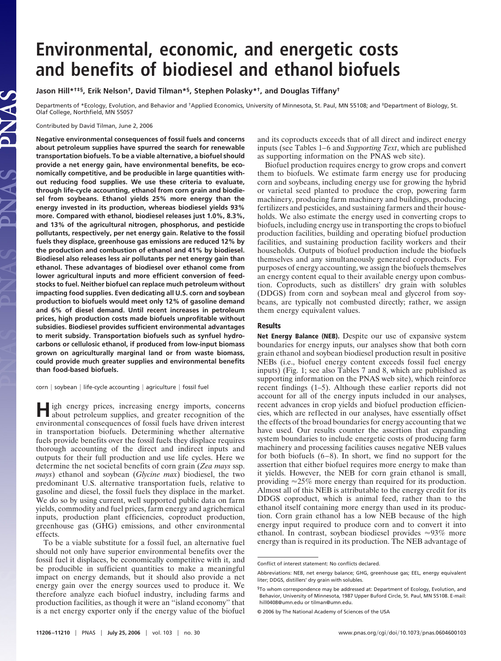## **Environmental, economic, and energetic costs and benefits of biodiesel and ethanol biofuels**

**Jason Hill\*†‡§, Erik Nelson†, David Tilman\*§, Stephen Polasky\*†, and Douglas Tiffany†**

Departments of \*Ecology, Evolution, and Behavior and †Applied Economics, University of Minnesota, St. Paul, MN 55108; and ‡Department of Biology, St. Olaf College, Northfield, MN 55057

Contributed by David Tilman, June 2, 2006

 $\Delta S$ 

**Negative environmental consequences of fossil fuels and concerns about petroleum supplies have spurred the search for renewable transportation biofuels. To be a viable alternative, a biofuel should provide a net energy gain, have environmental benefits, be economically competitive, and be producible in large quantities without reducing food supplies. We use these criteria to evaluate, through life-cycle accounting, ethanol from corn grain and biodiesel from soybeans. Ethanol yields 25% more energy than the energy invested in its production, whereas biodiesel yields 93% more. Compared with ethanol, biodiesel releases just 1.0%, 8.3%, and 13% of the agricultural nitrogen, phosphorus, and pesticide pollutants, respectively, per net energy gain. Relative to the fossil fuels they displace, greenhouse gas emissions are reduced 12% by the production and combustion of ethanol and 41% by biodiesel. Biodiesel also releases less air pollutants per net energy gain than ethanol. These advantages of biodiesel over ethanol come from lower agricultural inputs and more efficient conversion of feedstocks to fuel. Neither biofuel can replace much petroleum without impacting food supplies. Even dedicating all U.S. corn and soybean production to biofuels would meet only 12% of gasoline demand and 6% of diesel demand. Until recent increases in petroleum prices, high production costs made biofuels unprofitable without subsidies. Biodiesel provides sufficient environmental advantages to merit subsidy. Transportation biofuels such as synfuel hydrocarbons or cellulosic ethanol, if produced from low-input biomass grown on agriculturally marginal land or from waste biomass, could provide much greater supplies and environmental benefits than food-based biofuels.**

corn | soybean | life-cycle accounting | agriculture | fossil fuel

High energy prices, increasing energy imports, concerns about petroleum supplies, and greater recognition of the environmental consequences of fossil fuels have driven interest in transportation biofuels. Determining whether alternative fuels provide benefits over the fossil fuels they displace requires thorough accounting of the direct and indirect inputs and outputs for their full production and use life cycles. Here we determine the net societal benefits of corn grain (*Zea mays* ssp. *mays*) ethanol and soybean (*Glycine max*) biodiesel, the two predominant U.S. alternative transportation fuels, relative to gasoline and diesel, the fossil fuels they displace in the market. We do so by using current, well supported public data on farm yields, commodity and fuel prices, farm energy and agrichemical inputs, production plant efficiencies, coproduct production, greenhouse gas (GHG) emissions, and other environmental effects.

To be a viable substitute for a fossil fuel, an alternative fuel should not only have superior environmental benefits over the fossil fuel it displaces, be economically competitive with it, and be producible in sufficient quantities to make a meaningful impact on energy demands, but it should also provide a net energy gain over the energy sources used to produce it. We therefore analyze each biofuel industry, including farms and production facilities, as though it were an ''island economy'' that is a net energy exporter only if the energy value of the biofuel and its coproducts exceeds that of all direct and indirect energy inputs (see Tables 1–6 and *Supporting Text*, which are published as supporting information on the PNAS web site).

Biofuel production requires energy to grow crops and convert them to biofuels. We estimate farm energy use for producing corn and soybeans, including energy use for growing the hybrid or varietal seed planted to produce the crop, powering farm machinery, producing farm machinery and buildings, producing fertilizers and pesticides, and sustaining farmers and their households. We also estimate the energy used in converting crops to biofuels, including energy use in transporting the crops to biofuel production facilities, building and operating biofuel production facilities, and sustaining production facility workers and their households. Outputs of biofuel production include the biofuels themselves and any simultaneously generated coproducts. For purposes of energy accounting, we assign the biofuels themselves an energy content equal to their available energy upon combustion. Coproducts, such as distillers' dry grain with solubles (DDGS) from corn and soybean meal and glycerol from soybeans, are typically not combusted directly; rather, we assign them energy equivalent values.

## **Results**

**Net Energy Balance (NEB).** Despite our use of expansive system boundaries for energy inputs, our analyses show that both corn grain ethanol and soybean biodiesel production result in positive NEBs (i.e., biofuel energy content exceeds fossil fuel energy inputs) (Fig. 1; see also Tables 7 and 8, which are published as supporting information on the PNAS web site), which reinforce recent findings (1–5). Although these earlier reports did not account for all of the energy inputs included in our analyses, recent advances in crop yields and biofuel production efficiencies, which are reflected in our analyses, have essentially offset the effects of the broad boundaries for energy accounting that we have used. Our results counter the assertion that expanding system boundaries to include energetic costs of producing farm machinery and processing facilities causes negative NEB values for both biofuels (6–8). In short, we find no support for the assertion that either biofuel requires more energy to make than it yields. However, the NEB for corn grain ethanol is small, providing  $\approx 25\%$  more energy than required for its production. Almost all of this NEB is attributable to the energy credit for its DDGS coproduct, which is animal feed, rather than to the ethanol itself containing more energy than used in its production. Corn grain ethanol has a low NEB because of the high energy input required to produce corn and to convert it into ethanol. In contrast, soybean biodiesel provides  $\approx 93\%$  more energy than is required in its production. The NEB advantage of

Conflict of interest statement: No conflicts declared.

Abbreviations: NEB, net energy balance; GHG, greenhouse gas; EEL, energy equivalent liter; DDGS, distillers' dry grain with solubles.

<sup>§</sup>To whom correspondence may be addressed at: Department of Ecology, Evolution, and Behavior, University of Minnesota, 1987 Upper Buford Circle, St. Paul, MN 55108. E-mail: hill0408@umn.edu or tilman@umn.edu.

<sup>© 2006</sup> by The National Academy of Sciences of the USA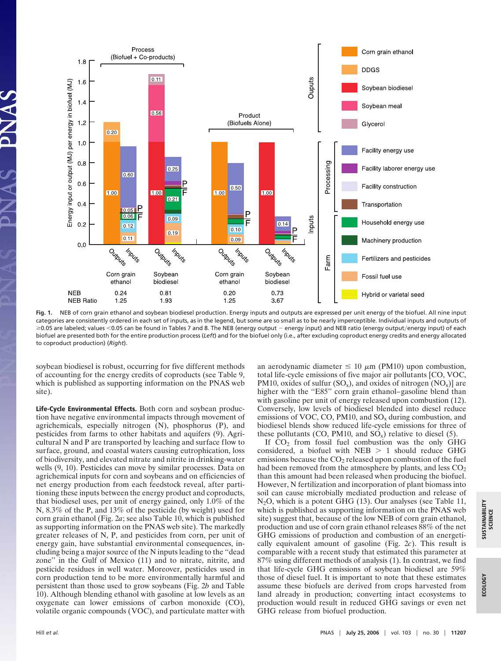

**Fig. 1.** NEB of corn grain ethanol and soybean biodiesel production. Energy inputs and outputs are expressed per unit energy of the biofuel. All nine input categories are consistently ordered in each set of inputs, as in the legend, but some are so small as to be nearly imperceptible. Individual inputs and outputs of  $\geq$ 0.05 are labeled; values <0.05 can be found in Tables 7 and 8. The NEB (energy output  $-$  energy input) and NEB ratio (energy output/energy input) of each biofuel are presented both for the entire production process (*Left*) and for the biofuel only (i.e., after excluding coproduct energy credits and energy allocated to coproduct production) (*Right*).

soybean biodiesel is robust, occurring for five different methods of accounting for the energy credits of coproducts (see Table 9, which is published as supporting information on the PNAS web site).

**Life-Cycle Environmental Effects.** Both corn and soybean production have negative environmental impacts through movement of agrichemicals, especially nitrogen (N), phosphorus (P), and pesticides from farms to other habitats and aquifers (9). Agricultural N and P are transported by leaching and surface flow to surface, ground, and coastal waters causing eutrophication, loss of biodiversity, and elevated nitrate and nitrite in drinking-water wells (9, 10). Pesticides can move by similar processes. Data on agrichemical inputs for corn and soybeans and on efficiencies of net energy production from each feedstock reveal, after partitioning these inputs between the energy product and coproducts, that biodiesel uses, per unit of energy gained, only 1.0% of the N, 8.3% of the P, and 13% of the pesticide (by weight) used for corn grain ethanol (Fig. 2*a*; see also Table 10, which is published as supporting information on the PNAS web site). The markedly greater releases of N, P, and pesticides from corn, per unit of energy gain, have substantial environmental consequences, including being a major source of the N inputs leading to the ''dead zone'' in the Gulf of Mexico (11) and to nitrate, nitrite, and pesticide residues in well water. Moreover, pesticides used in corn production tend to be more environmentally harmful and persistent than those used to grow soybeans (Fig. 2*b* and Table 10). Although blending ethanol with gasoline at low levels as an oxygenate can lower emissions of carbon monoxide (CO), volatile organic compounds (VOC), and particulate matter with

an aerodynamic diameter  $\leq 10 \mu m$  (PM10) upon combustion, total life-cycle emissions of five major air pollutants [CO, VOC, PM10, oxides of sulfur  $(SO_x)$ , and oxides of nitrogen  $(NO_x)$  are higher with the "E85" corn grain ethanol–gasoline blend than with gasoline per unit of energy released upon combustion  $(12)$ . Conversely, low levels of biodiesel blended into diesel reduce emissions of VOC, CO, PM10, and  $SO_x$  during combustion, and biodiesel blends show reduced life-cycle emissions for three of these pollutants (CO, PM10, and  $SO_x$ ) relative to diesel (5).

If  $CO<sub>2</sub>$  from fossil fuel combustion was the only GHG considered, a biofuel with  $NEB > 1$  should reduce GHG emissions because the  $CO<sub>2</sub>$  released upon combustion of the fuel had been removed from the atmosphere by plants, and less  $CO<sub>2</sub>$ than this amount had been released when producing the biofuel. However, N fertilization and incorporation of plant biomass into soil can cause microbially mediated production and release of  $N_2O$ , which is a potent GHG (13). Our analyses (see Table 11, which is published as supporting information on the PNAS web site) suggest that, because of the low NEB of corn grain ethanol, production and use of corn grain ethanol releases 88% of the net GHG emissions of production and combustion of an energetically equivalent amount of gasoline (Fig. 2*c*). This result is comparable with a recent study that estimated this parameter at 87% using different methods of analysis (1). In contrast, we find that life-cycle GHG emissions of soybean biodiesel are 59% those of diesel fuel. It is important to note that these estimates assume these biofuels are derived from crops harvested from land already in production; converting intact ecosystems to production would result in reduced GHG savings or even net GHG release from biofuel production.

**ECOLOGY**

ECOLOG'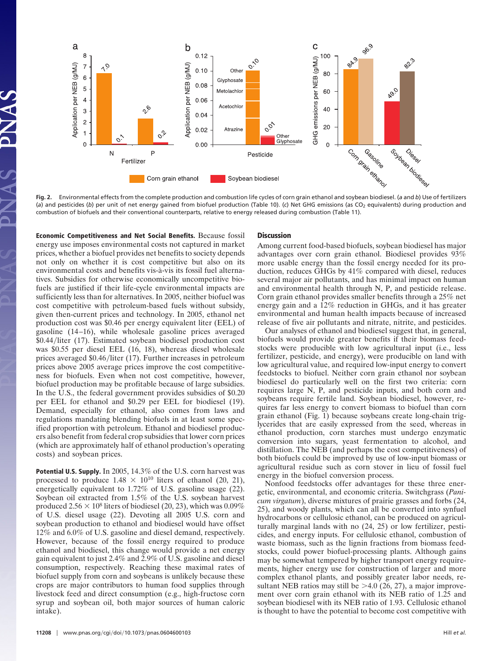

**Fig. 2.** Environmental effects from the complete production and combustion life cycles of corn grain ethanol and soybean biodiesel. (*a* and *b*) Use of fertilizers (*a*) and pesticides (*b*) per unit of net energy gained from biofuel production (Table 10). (*c*) Net GHG emissions (as CO2 equivalents) during production and combustion of biofuels and their conventional counterparts, relative to energy released during combustion (Table 11).

**Economic Competitiveness and Net Social Benefits.** Because fossil energy use imposes environmental costs not captured in market prices, whether a biofuel provides net benefits to society depends not only on whether it is cost competitive but also on its environmental costs and benefits vis-à-vis its fossil fuel alternatives. Subsidies for otherwise economically uncompetitive biofuels are justified if their life-cycle environmental impacts are sufficiently less than for alternatives. In 2005, neither biofuel was cost competitive with petroleum-based fuels without subsidy, given then-current prices and technology. In 2005, ethanol net production cost was \$0.46 per energy equivalent liter (EEL) of gasoline (14–16), while wholesale gasoline prices averaged \$0.44-liter (17). Estimated soybean biodiesel production cost was \$0.55 per diesel EEL (16, 18), whereas diesel wholesale prices averaged \$0.46/liter (17). Further increases in petroleum prices above 2005 average prices improve the cost competitiveness for biofuels. Even when not cost competitive, however, biofuel production may be profitable because of large subsidies. In the U.S., the federal government provides subsidies of \$0.20 per EEL for ethanol and \$0.29 per EEL for biodiesel (19). Demand, especially for ethanol, also comes from laws and regulations mandating blending biofuels in at least some specified proportion with petroleum. Ethanol and biodiesel producers also benefit from federal crop subsidies that lower corn prices (which are approximately half of ethanol production's operating costs) and soybean prices.

**Potential U.S. Supply.** In 2005, 14.3% of the U.S. corn harvest was processed to produce  $1.48 \times 10^{10}$  liters of ethanol (20, 21), energetically equivalent to 1.72% of U.S. gasoline usage (22). Soybean oil extracted from 1.5% of the U.S. soybean harvest produced  $2.56 \times 10^8$  liters of biodiesel (20, 23), which was 0.09% of U.S. diesel usage (22). Devoting all 2005 U.S. corn and soybean production to ethanol and biodiesel would have offset 12% and 6.0% of U.S. gasoline and diesel demand, respectively. However, because of the fossil energy required to produce ethanol and biodiesel, this change would provide a net energy gain equivalent to just 2.4% and 2.9% of U.S. gasoline and diesel consumption, respectively. Reaching these maximal rates of biofuel supply from corn and soybeans is unlikely because these crops are major contributors to human food supplies through livestock feed and direct consumption (e.g., high-fructose corn syrup and soybean oil, both major sources of human caloric intake).

## **Discussion**

Among current food-based biofuels, soybean biodiesel has major advantages over corn grain ethanol. Biodiesel provides 93% more usable energy than the fossil energy needed for its production, reduces GHGs by 41% compared with diesel, reduces several major air pollutants, and has minimal impact on human and environmental health through N, P, and pesticide release. Corn grain ethanol provides smaller benefits through a 25% net energy gain and a 12% reduction in GHGs, and it has greater environmental and human health impacts because of increased release of five air pollutants and nitrate, nitrite, and pesticides.

Our analyses of ethanol and biodiesel suggest that, in general, biofuels would provide greater benefits if their biomass feedstocks were producible with low agricultural input (i.e., less fertilizer, pesticide, and energy), were producible on land with low agricultural value, and required low-input energy to convert feedstocks to biofuel. Neither corn grain ethanol nor soybean biodiesel do particularly well on the first two criteria: corn requires large N, P, and pesticide inputs, and both corn and soybeans require fertile land. Soybean biodiesel, however, requires far less energy to convert biomass to biofuel than corn grain ethanol (Fig. 1) because soybeans create long-chain triglycerides that are easily expressed from the seed, whereas in ethanol production, corn starches must undergo enzymatic conversion into sugars, yeast fermentation to alcohol, and distillation. The NEB (and perhaps the cost competitiveness) of both biofuels could be improved by use of low-input biomass or agricultural residue such as corn stover in lieu of fossil fuel energy in the biofuel conversion process.

Nonfood feedstocks offer advantages for these three energetic, environmental, and economic criteria. Switchgrass (*Panicum virgatum*), diverse mixtures of prairie grasses and forbs (24, 25), and woody plants, which can all be converted into synfuel hydrocarbons or cellulosic ethanol, can be produced on agriculturally marginal lands with no (24, 25) or low fertilizer, pesticides, and energy inputs. For cellulosic ethanol, combustion of waste biomass, such as the lignin fractions from biomass feedstocks, could power biofuel-processing plants. Although gains may be somewhat tempered by higher transport energy requirements, higher energy use for construction of larger and more complex ethanol plants, and possibly greater labor needs, resultant NEB ratios may still be  $>4.0$  (26, 27), a major improvement over corn grain ethanol with its NEB ratio of 1.25 and soybean biodiesel with its NEB ratio of 1.93. Cellulosic ethanol is thought to have the potential to become cost competitive with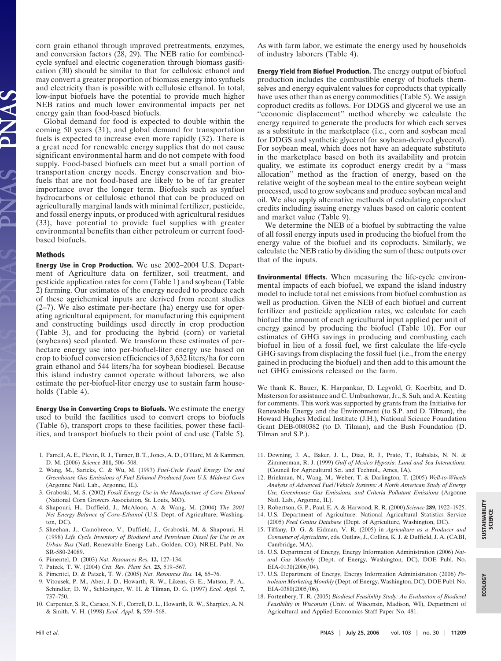corn grain ethanol through improved pretreatments, enzymes, and conversion factors (28, 29). The NEB ratio for combinedcycle synfuel and electric cogeneration through biomass gasification (30) should be similar to that for cellulosic ethanol and may convert a greater proportion of biomass energy into synfuels and electricity than is possible with cellulosic ethanol. In total, low-input biofuels have the potential to provide much higher NEB ratios and much lower environmental impacts per net energy gain than food-based biofuels.

Global demand for food is expected to double within the coming 50 years (31), and global demand for transportation fuels is expected to increase even more rapidly (32). There is a great need for renewable energy supplies that do not cause significant environmental harm and do not compete with food supply. Food-based biofuels can meet but a small portion of transportation energy needs. Energy conservation and biofuels that are not food-based are likely to be of far greater importance over the longer term. Biofuels such as synfuel hydrocarbons or cellulosic ethanol that can be produced on agriculturally marginal lands with minimal fertilizer, pesticide, and fossil energy inputs, or produced with agricultural residues (33), have potential to provide fuel supplies with greater environmental benefits than either petroleum or current foodbased biofuels.

## **Methods**

**Energy Use in Crop Production.** We use 2002–2004 U.S. Department of Agriculture data on fertilizer, soil treatment, and pesticide application rates for corn (Table 1) and soybean (Table 2) farming. Our estimates of the energy needed to produce each of these agrichemical inputs are derived from recent studies (2–7). We also estimate per-hectare (ha) energy use for operating agricultural equipment, for manufacturing this equipment and constructing buildings used directly in crop production (Table 3), and for producing the hybrid (corn) or varietal (soybeans) seed planted. We transform these estimates of perhectare energy use into per-biofuel-liter energy use based on crop to biofuel conversion efficiencies of 3,632 liters/ha for corn grain ethanol and 544 liters/ha for soybean biodiesel. Because this island industry cannot operate without laborers, we also estimate the per-biofuel-liter energy use to sustain farm households (Table 4).

**Energy Use in Converting Crops to Biofuels.** We estimate the energy used to build the facilities used to convert crops to biofuels (Table 6), transport crops to these facilities, power these facilities, and transport biofuels to their point of end use (Table 5).

- 1. Farrell, A. E., Plevin, R. J., Turner, B. T., Jones, A. D., O'Hare, M. & Kammen, D. M. (2006) *Science* **311,** 506–508.
- 2. Wang, M., Saricks, C. & Wu, M. (1997) *Fuel-Cycle Fossil Energy Use and Greenhouse Gas Emissions of Fuel Ethanol Produced from U.S. Midwest Corn* (Argonne Natl. Lab., Argonne, IL).
- 3. Graboski, M. S. (2002) *Fossil Energy Use in the Manufacture of Corn Ethanol* (National Corn Growers Association, St. Louis, MO).
- 4. Shapouri, H., Duffield, J., McAloon, A. & Wang, M. (2004) *The 2001 Net Energy Balance of Corn-Ethanol* (U.S. Dept. of Agriculture, Washington, DC).
- 5. Sheehan, J., Camobreco, V., Duffield, J., Graboski, M. & Shapouri, H. (1998) *Life Cycle Inventory of Biodiesel and Petroleum Diesel for Use in an Urban Bus* (Natl. Renewable Energy Lab., Golden, CO), NREL Publ. No. SR-580-24089.
- 6. Pimentel, D. (2003) *Nat. Resources Res.* **12,** 127–134.
- 7. Patzek, T. W. (2004) *Crit. Rev. Plant Sci.* **23,** 519–567.
- 8. Pimentel, D. & Patzek, T. W. (2005) *Nat. Resources Res.* **14,** 65–76.
- 9. Vitousek, P. M., Aber, J. D., Howarth, R. W., Likens, G. E., Matson, P. A., Schindler, D. W., Schlesinger, W. H. & Tilman, D. G. (1997) *Ecol. Appl.* **7,** 737–750.
- 10. Carpenter, S. R., Caraco, N. F., Correll, D. L., Howarth, R. W., Sharpley, A. N. & Smith, V. H. (1998) *Ecol. Appl.* **8,** 559–568.

As with farm labor, we estimate the energy used by households of industry laborers (Table 4).

**Energy Yield from Biofuel Production.** The energy output of biofuel production includes the combustible energy of biofuels themselves and energy equivalent values for coproducts that typically have uses other than as energy commodities (Table 5). We assign coproduct credits as follows. For DDGS and glycerol we use an "economic displacement" method whereby we calculate the energy required to generate the products for which each serves as a substitute in the marketplace (i.e., corn and soybean meal for DDGS and synthetic glycerol for soybean-derived glycerol). For soybean meal, which does not have an adequate substitute in the marketplace based on both its availability and protein quality, we estimate its coproduct energy credit by a ''mass allocation'' method as the fraction of energy, based on the relative weight of the soybean meal to the entire soybean weight processed, used to grow soybeans and produce soybean meal and oil. We also apply alternative methods of calculating coproduct credits including issuing energy values based on caloric content and market value (Table 9).

We determine the NEB of a biofuel by subtracting the value of all fossil energy inputs used in producing the biofuel from the energy value of the biofuel and its coproducts. Similarly, we calculate the NEB ratio by dividing the sum of these outputs over that of the inputs.

**Environmental Effects.** When measuring the life-cycle environmental impacts of each biofuel, we expand the island industry model to include total net emissions from biofuel combustion as well as production. Given the NEB of each biofuel and current fertilizer and pesticide application rates, we calculate for each biofuel the amount of each agricultural input applied per unit of energy gained by producing the biofuel (Table 10). For our estimates of GHG savings in producing and combusting each biofuel in lieu of a fossil fuel, we first calculate the life-cycle GHG savings from displacing the fossil fuel (i.e., from the energy gained in producing the biofuel) and then add to this amount the net GHG emissions released on the farm.

We thank K. Bauer, K. Harpankar, D. Legvold, G. Koerbitz, and D. Masterson for assistance and C. Umbanhowar, Jr., S. Suh, and A. Keating for comments. This work was supported by grants from the Initiative for Renewable Energy and the Environment (to S.P. and D. Tilman), the Howard Hughes Medical Institute (J.H.), National Science Foundation Grant DEB-0080382 (to D. Tilman), and the Bush Foundation (D. Tilman and S.P.).

- 11. Downing, J. A., Baker, J. L., Diaz, R. J., Prato, T., Rabalais, N. N. & Zimmerman, R. J. (1999) *Gulf of Mexico Hypoxia: Land and Sea Interactions.* (Council for Agricultural Sci. and Technol., Ames, IA).
- 12. Brinkman, N., Wang, M., Weber, T. & Darlington, T. (2005) *Well-to-Wheels Analysis of Advanced Fuel*-*Vehicle Systems: A North American Study of Energy Use, Greenhouse Gas Emissions, and Criteria Pollutant Emissions* (Argonne Natl. Lab., Argonne, IL).
- 13. Robertson, G. P., Paul, E. A. & Harwood, R. R. (2000) *Science* **289,** 1922–1925.
- 14. U.S. Department of Agriculture: National Agricultural Statistics Service (2005) *Feed Grains Database* (Dept. of Agriculture, Washington, DC).
- 15. Tiffany, D. G. & Eidman, V. R. (2005) in *Agriculture as a Producer and Consumer of Agriculture*, eds. Outlaw, J., Collins, K. J. & Duffield, J. A. (CABI, Cambridge, MA).
- 16. U.S. Department of Energy, Energy Information Administration (2006) *Natural Gas Monthly* (Dept. of Energy, Washington, DC), DOE Publ. No. EIA-0130(2006/04).
- 17. U.S. Department of Energy, Energy Information Administration (2006) *Petroleum Marketing Monthly* (Dept. of Energy, Washington, DC), DOE Publ. No. EIA-0380(2005/06).
- 18. Fortenbery, T. R. (2005) *Biodiesel Feasibility Study: An Evaluation of Biodiesel Feasibility in Wisconsin* (Univ. of Wisconsin, Madison, WI), Department of Agricultural and Applied Economics Staff Paper No. 481.